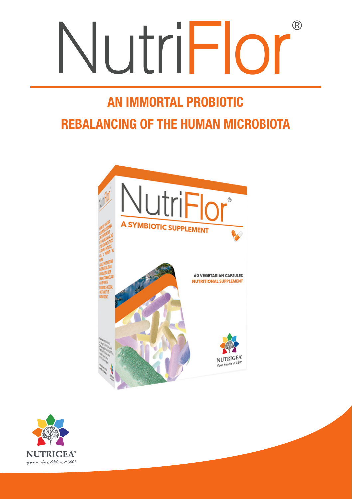# NutriFlor  $(R)$

## AN IMMORTAL PROBIOTIC REBALANCING OF THE HUMAN MICROBIOTA